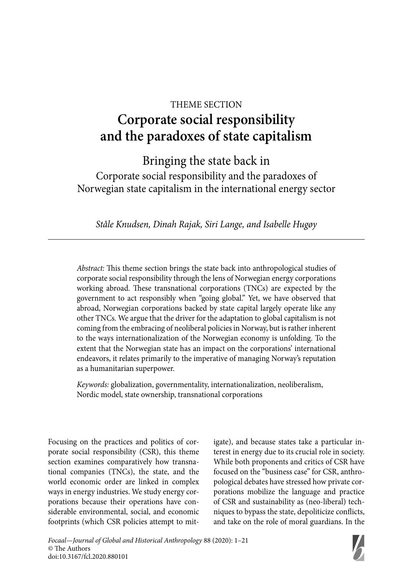# THEME SECTION

# **Corporate social responsibility and the paradoxes of state capitalism**

Bringing the state back in Corporate social responsibility and the paradoxes of Norwegian state capitalism in the international energy sector

*Ståle Knudsen, Dinah Rajak, Siri Lange, and Isabelle Hugøy*

*Abstract:* This theme section brings the state back into anthropological studies of corporate social responsibility through the lens of Norwegian energy corporations working abroad. These transnational corporations (TNCs) are expected by the government to act responsibly when "going global." Yet, we have observed that abroad, Norwegian corporations backed by state capital largely operate like any other TNCs. We argue that the driver for the adaptation to global capitalism is not coming from the embracing of neoliberal policies in Norway, but is rather inherent to the ways internationalization of the Norwegian economy is unfolding. To the extent that the Norwegian state has an impact on the corporations' international endeavors, it relates primarily to the imperative of managing Norway's reputation as a humanitarian superpower.

*Keywords:* globalization, governmentality, internationalization, neoliberalism, Nordic model, state ownership, transnational corporations

Focusing on the practices and politics of corporate social responsibility (CSR), this theme section examines comparatively how transnational companies (TNCs), the state, and the world economic order are linked in complex ways in energy industries. We study energy corporations because their operations have considerable environmental, social, and economic footprints (which CSR policies attempt to mitigate), and because states take a particular interest in energy due to its crucial role in society. While both proponents and critics of CSR have focused on the "business case" for CSR, anthropological debates have stressed how private corporations mobilize the language and practice of CSR and sustainability as (neo-liberal) techniques to bypass the state, depoliticize conflicts, and take on the role of moral guardians. In the

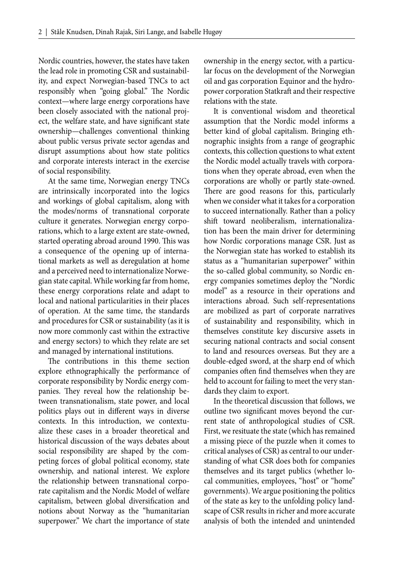Nordic countries, however, the states have taken the lead role in promoting CSR and sustainability, and expect Norwegian-based TNCs to act responsibly when "going global." The Nordic context—where large energy corporations have been closely associated with the national project, the welfare state, and have significant state ownership—challenges conventional thinking about public versus private sector agendas and disrupt assumptions about how state politics and corporate interests interact in the exercise of social responsibility.

At the same time, Norwegian energy TNCs are intrinsically incorporated into the logics and workings of global capitalism, along with the modes/norms of transnational corporate culture it generates. Norwegian energy corporations, which to a large extent are state-owned, started operating abroad around 1990. This was a consequence of the opening up of international markets as well as deregulation at home and a perceived need to internationalize Norwegian state capital. While working far from home, these energy corporations relate and adapt to local and national particularities in their places of operation. At the same time, the standards and procedures for CSR or sustainability (as it is now more commonly cast within the extractive and energy sectors) to which they relate are set and managed by international institutions.

The contributions in this theme section explore ethnographically the performance of corporate responsibility by Nordic energy companies. They reveal how the relationship between transnationalism, state power, and local politics plays out in different ways in diverse contexts. In this introduction, we contextualize these cases in a broader theoretical and historical discussion of the ways debates about social responsibility are shaped by the competing forces of global political economy, state ownership, and national interest. We explore the relationship between transnational corporate capitalism and the Nordic Model of welfare capitalism, between global diversification and notions about Norway as the "humanitarian superpower." We chart the importance of state ownership in the energy sector, with a particular focus on the development of the Norwegian oil and gas corporation Equinor and the hydropower corporation Statkraft and their respective relations with the state.

It is conventional wisdom and theoretical assumption that the Nordic model informs a better kind of global capitalism. Bringing ethnographic insights from a range of geographic contexts, this collection questions to what extent the Nordic model actually travels with corporations when they operate abroad, even when the corporations are wholly or partly state-owned. There are good reasons for this, particularly when we consider what it takes for a corporation to succeed internationally. Rather than a policy shift toward neoliberalism, internationalization has been the main driver for determining how Nordic corporations manage CSR. Just as the Norwegian state has worked to establish its status as a "humanitarian superpower" within the so-called global community, so Nordic energy companies sometimes deploy the "Nordic model" as a resource in their operations and interactions abroad. Such self-representations are mobilized as part of corporate narratives of sustainability and responsibility, which in themselves constitute key discursive assets in securing national contracts and social consent to land and resources overseas. But they are a double-edged sword, at the sharp end of which companies often find themselves when they are held to account for failing to meet the very standards they claim to export.

In the theoretical discussion that follows, we outline two significant moves beyond the current state of anthropological studies of CSR. First, we resituate the state (which has remained a missing piece of the puzzle when it comes to critical analyses of CSR) as central to our understanding of what CSR does both for companies themselves and its target publics (whether local communities, employees, "host" or "home" governments). We argue positioning the politics of the state as key to the unfolding policy landscape of CSR results in richer and more accurate analysis of both the intended and unintended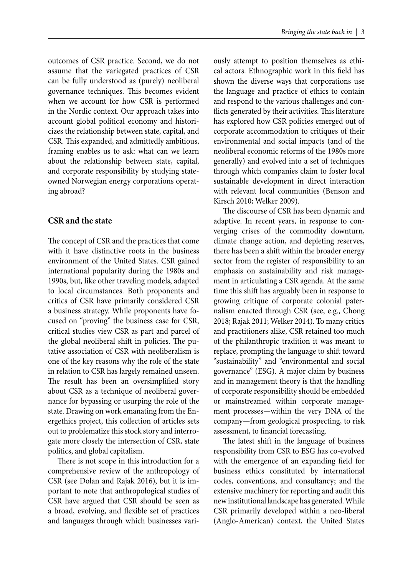outcomes of CSR practice. Second, we do not assume that the variegated practices of CSR can be fully understood as (purely) neoliberal governance techniques. This becomes evident when we account for how CSR is performed in the Nordic context. Our approach takes into account global political economy and historicizes the relationship between state, capital, and CSR. This expanded, and admittedly ambitious, framing enables us to ask: what can we learn about the relationship between state, capital, and corporate responsibility by studying stateowned Norwegian energy corporations operating abroad?

## **CSR and the state**

The concept of CSR and the practices that come with it have distinctive roots in the business environment of the United States. CSR gained international popularity during the 1980s and 1990s, but, like other traveling models, adapted to local circumstances. Both proponents and critics of CSR have primarily considered CSR a business strategy. While proponents have focused on "proving" the business case for CSR, critical studies view CSR as part and parcel of the global neoliberal shift in policies. The putative association of CSR with neoliberalism is one of the key reasons why the role of the state in relation to CSR has largely remained unseen. The result has been an oversimplified story about CSR as a technique of neoliberal governance for bypassing or usurping the role of the state. Drawing on work emanating from the Energethics project, this collection of articles sets out to problematize this stock story and interrogate more closely the intersection of CSR, state politics, and global capitalism.

There is not scope in this introduction for a comprehensive review of the anthropology of CSR (see Dolan and Rajak 2016), but it is important to note that anthropological studies of CSR have argued that CSR should be seen as a broad, evolving, and flexible set of practices and languages through which businesses variously attempt to position themselves as ethical actors. Ethnographic work in this field has shown the diverse ways that corporations use the language and practice of ethics to contain and respond to the various challenges and conflicts generated by their activities. This literature has explored how CSR policies emerged out of corporate accommodation to critiques of their environmental and social impacts (and of the neoliberal economic reforms of the 1980s more generally) and evolved into a set of techniques through which companies claim to foster local sustainable development in direct interaction with relevant local communities (Benson and Kirsch 2010; Welker 2009).

The discourse of CSR has been dynamic and adaptive. In recent years, in response to converging crises of the commodity downturn, climate change action, and depleting reserves, there has been a shift within the broader energy sector from the register of responsibility to an emphasis on sustainability and risk management in articulating a CSR agenda. At the same time this shift has arguably been in response to growing critique of corporate colonial paternalism enacted through CSR (see, e.g., Chong 2018; Rajak 2011; Welker 2014). To many critics and practitioners alike, CSR retained too much of the philanthropic tradition it was meant to replace, prompting the language to shift toward "sustainability" and "environmental and social governance" (ESG). A major claim by business and in management theory is that the handling of corporate responsibility should be embedded or mainstreamed within corporate management processes—within the very DNA of the company—from geological prospecting, to risk assessment, to financial forecasting.

The latest shift in the language of business responsibility from CSR to ESG has co-evolved with the emergence of an expanding field for business ethics constituted by international codes, conventions, and consultancy; and the extensive machinery for reporting and audit this new institutional landscape has generated. While CSR primarily developed within a neo-liberal (Anglo-American) context, the United States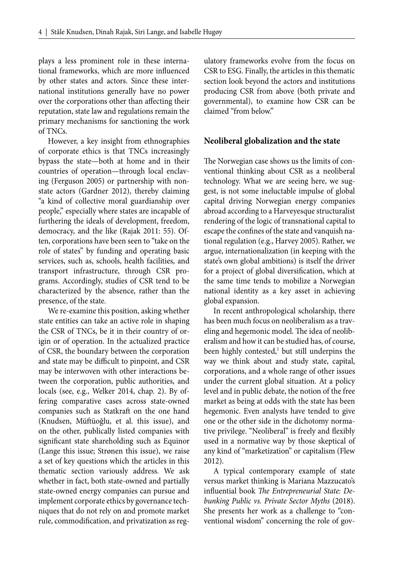plays a less prominent role in these international frameworks, which are more influenced by other states and actors. Since these international institutions generally have no power over the corporations other than affecting their reputation, state law and regulations remain the primary mechanisms for sanctioning the work of TNCs.

However, a key insight from ethnographies of corporate ethics is that TNCs increasingly bypass the state—both at home and in their countries of operation—through local enclaving (Ferguson 2005) or partnership with nonstate actors (Gardner 2012), thereby claiming "a kind of collective moral guardianship over people," especially where states are incapable of furthering the ideals of development, freedom, democracy, and the like (Rajak 2011: 55). Often, corporations have been seen to "take on the role of states" by funding and operating basic services, such as, schools, health facilities, and transport infrastructure, through CSR programs. Accordingly, studies of CSR tend to be characterized by the absence, rather than the presence, of the state.

We re-examine this position, asking whether state entities can take an active role in shaping the CSR of TNCs, be it in their country of origin or of operation. In the actualized practice of CSR, the boundary between the corporation and state may be difficult to pinpoint, and CSR may be interwoven with other interactions between the corporation, public authorities, and locals (see, e.g., Welker 2014, chap. 2). By offering comparative cases across state-owned companies such as Statkraft on the one hand (Knudsen, Müftüoğlu, et al. this issue), and on the other, publically listed companies with significant state shareholding such as Equinor (Lange this issue; Strønen this issue), we raise a set of key questions which the articles in this thematic section variously address. We ask whether in fact, both state-owned and partially state-owned energy companies can pursue and implement corporate ethics by governance techniques that do not rely on and promote market rule, commodification, and privatization as regulatory frameworks evolve from the focus on CSR to ESG. Finally, the articles in this thematic section look beyond the actors and institutions producing CSR from above (both private and governmental), to examine how CSR can be claimed "from below."

#### **Neoliberal globalization and the state**

The Norwegian case shows us the limits of conventional thinking about CSR as a neoliberal technology. What we are seeing here, we suggest, is not some ineluctable impulse of global capital driving Norwegian energy companies abroad according to a Harveyesque structuralist rendering of the logic of transnational capital to escape the confines of the state and vanquish national regulation (e.g., Harvey 2005). Rather, we argue, internationalization (in keeping with the state's own global ambitions) is itself the driver for a project of global diversification, which at the same time tends to mobilize a Norwegian national identity as a key asset in achieving global expansion.

In recent anthropological scholarship, there has been much focus on neoliberalism as a traveling and hegemonic model. The idea of neoliberalism and how it can be studied has, of course, been highly contested,<sup>1</sup> but still underpins the way we think about and study state, capital, corporations, and a whole range of other issues under the current global situation. At a policy level and in public debate, the notion of the free market as being at odds with the state has been hegemonic. Even analysts have tended to give one or the other side in the dichotomy normative privilege. "Neoliberal" is freely and flexibly used in a normative way by those skeptical of any kind of "marketization" or capitalism (Flew 2012).

A typical contemporary example of state versus market thinking is Mariana Mazzucato's influential book The Entrepreneurial State: De*bunking Public vs. Private Sector Myths* (2018). She presents her work as a challenge to "conventional wisdom" concerning the role of gov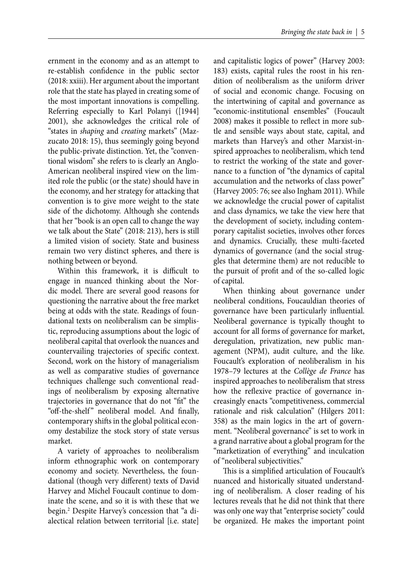ernment in the economy and as an attempt to re-establish confidence in the public sector (2018: xxiii). Her argument about the important role that the state has played in creating some of the most important innovations is compelling. Referring especially to Karl Polanyi ([1944] 2001), she acknowledges the critical role of "states in *shaping* and *creating* markets" (Mazzucato 2018: 15), thus seemingly going beyond the public-private distinction. Yet, the "conventional wisdom" she refers to is clearly an Anglo-American neoliberal inspired view on the limited role the public (or the state) should have in the economy, and her strategy for attacking that convention is to give more weight to the state side of the dichotomy. Although she contends that her "book is an open call to change the way we talk about the State" (2018: 213), hers is still a limited vision of society. State and business remain two very distinct spheres, and there is nothing between or beyond.

Within this framework, it is difficult to engage in nuanced thinking about the Nordic model. There are several good reasons for questioning the narrative about the free market being at odds with the state. Readings of foundational texts on neoliberalism can be simplistic, reproducing assumptions about the logic of neoliberal capital that overlook the nuances and countervailing trajectories of specific context. Second, work on the history of managerialism as well as comparative studies of governance techniques challenge such conventional readings of neoliberalism by exposing alternative trajectories in governance that do not "fit" the "off-the-shelf" neoliberal model. And finally, contemporary shifts in the global political economy destabilize the stock story of state versus market.

A variety of approaches to neoliberalism inform ethnographic work on contemporary economy and society. Nevertheless, the foundational (though very different) texts of David Harvey and Michel Foucault continue to dominate the scene, and so it is with these that we begin.2 Despite Harvey's concession that "a dialectical relation between territorial [i.e. state]

and capitalistic logics of power" (Harvey 2003: 183) exists, capital rules the roost in his rendition of neoliberalism as the uniform driver of social and economic change. Focusing on the intertwining of capital and governance as "economic-institutional ensembles" (Foucault 2008) makes it possible to reflect in more subtle and sensible ways about state, capital, and markets than Harvey's and other Marxist-inspired approaches to neoliberalism, which tend to restrict the working of the state and governance to a function of "the dynamics of capital accumulation and the networks of class power" (Harvey 2005: 76; see also Ingham 2011). While we acknowledge the crucial power of capitalist and class dynamics, we take the view here that the development of society, including contemporary capitalist societies, involves other forces and dynamics. Crucially, these multi-faceted dynamics of governance (and the social struggles that determine them) are not reducible to the pursuit of profit and of the so-called logic of capital.

When thinking about governance under neoliberal conditions, Foucauldian theories of governance have been particularly influential. Neoliberal governance is typically thought to account for all forms of governance for market, deregulation, privatization, new public management (NPM), audit culture, and the like. Foucault's exploration of neoliberalism in his 1978–79 lectures at the *Collège de France* has inspired approaches to neoliberalism that stress how the reflexive practice of governance increasingly enacts "competitiveness, commercial rationale and risk calculation" (Hilgers 2011: 358) as the main logics in the art of government. "Neoliberal governance" is set to work in a grand narrative about a global program for the "marketization of everything" and inculcation of "neoliberal subjectivities."

This is a simplified articulation of Foucault's nuanced and historically situated understanding of neoliberalism. A closer reading of his lectures reveals that he did not think that there was only one way that "enterprise society" could be organized. He makes the important point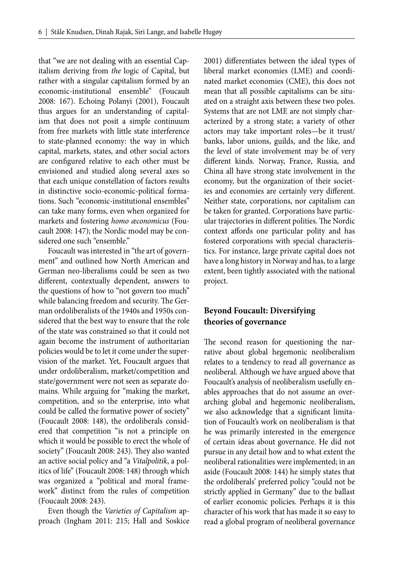that "we are not dealing with an essential Capitalism deriving from *the* logic of Capital, but rather with a singular capitalism formed by an economic-institutional ensemble" (Foucault 2008: 167). Echoing Polanyi (2001), Foucault thus argues for an understanding of capitalism that does not posit a simple continuum from free markets with little state interference to state-planned economy: the way in which capital, markets, states, and other social actors are configured relative to each other must be envisioned and studied along several axes so that each unique constellation of factors results in distinctive socio-economic-political formations. Such "economic-institutional ensembles" can take many forms, even when organized for markets and fostering *homo æconomicus* (Foucault 2008: 147); the Nordic model may be considered one such "ensemble."

Foucault was interested in "the art of government" and outlined how North American and German neo-liberalisms could be seen as two different, contextually dependent, answers to the questions of how to "not govern too much" while balancing freedom and security. The German ordoliberalists of the 1940s and 1950s considered that the best way to ensure that the role of the state was constrained so that it could not again become the instrument of authoritarian policies would be to let it come under the supervision of the market. Yet, Foucault argues that under ordoliberalism, market/competition and state/government were not seen as separate domains. While arguing for "making the market, competition, and so the enterprise, into what could be called the formative power of society" (Foucault 2008: 148), the ordoliberals considered that competition "is not a principle on which it would be possible to erect the whole of society" (Foucault 2008: 243). They also wanted an active social policy and "a *Vitalpolitik*, a politics of life" (Foucault 2008: 148) through which was organized a "political and moral framework" distinct from the rules of competition (Foucault 2008: 243).

Even though the *Varieties of Capitalism* approach (Ingham 2011: 215; Hall and Soskice 2001) differentiates between the ideal types of liberal market economies (LME) and coordinated market economies (CME), this does not mean that all possible capitalisms can be situated on a straight axis between these two poles. Systems that are not LME are not simply characterized by a strong state; a variety of other actors may take important roles—be it trust/ banks, labor unions, guilds, and the like, and the level of state involvement may be of very different kinds. Norway, France, Russia, and China all have strong state involvement in the economy, but the organization of their societies and economies are certainly very different. Neither state, corporations, nor capitalism can be taken for granted. Corporations have particular trajectories in different polities. The Nordic context affords one particular polity and has fostered corporations with special characteristics. For instance, large private capital does not have a long history in Norway and has, to a large extent, been tightly associated with the national project.

## **Beyond Foucault: Diversifying theories of governance**

The second reason for questioning the narrative about global hegemonic neoliberalism relates to a tendency to read all governance as neoliberal. Although we have argued above that Foucault's analysis of neoliberalism usefully enables approaches that do not assume an overarching global and hegemonic neoliberalism, we also acknowledge that a significant limitation of Foucault's work on neoliberalism is that he was primarily interested in the emergence of certain ideas about governance. He did not pursue in any detail how and to what extent the neoliberal rationalities were implemented; in an aside (Foucault 2008: 144) he simply states that the ordoliberals' preferred policy "could not be strictly applied in Germany" due to the ballast of earlier economic policies. Perhaps it is this character of his work that has made it so easy to read a global program of neoliberal governance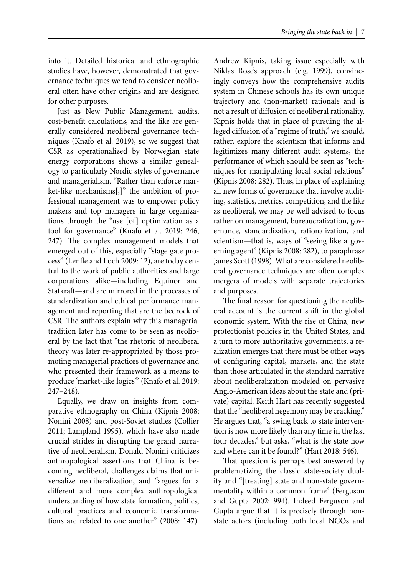into it. Detailed historical and ethnographic studies have, however, demonstrated that governance techniques we tend to consider neoliberal often have other origins and are designed for other purposes.

Just as New Public Management, audits, cost-benefit calculations, and the like are generally considered neoliberal governance techniques (Knafo et al. 2019), so we suggest that CSR as operationalized by Norwegian state energy corporations shows a similar genealogy to particularly Nordic styles of governance and managerialism. "Rather than enforce market-like mechanisms[,]" the ambition of professional management was to empower policy makers and top managers in large organizations through the "use [of] optimization as a tool for governance" (Knafo et al. 2019: 246, 247). The complex management models that emerged out of this, especially "stage gate process" (Lenfle and Loch 2009: 12), are today central to the work of public authorities and large corporations alike—including Equinor and Statkraft —and are mirrored in the processes of standardization and ethical performance management and reporting that are the bedrock of CSR. The authors explain why this managerial tradition later has come to be seen as neoliberal by the fact that "the rhetoric of neoliberal theory was later re-appropriated by those promoting managerial practices of governance and who presented their framework as a means to produce 'market-like logics'" (Knafo et al. 2019: 247–248).

Equally, we draw on insights from comparative ethnography on China (Kipnis 2008; Nonini 2008) and post-Soviet studies (Collier 2011; Lampland 1995), which have also made crucial strides in disrupting the grand narrative of neoliberalism. Donald Nonini criticizes anthropological assertions that China is becoming neoliberal, challenges claims that universalize neoliberalization, and "argues for a different and more complex anthropological understanding of how state formation, politics, cultural practices and economic transformations are related to one another" (2008: 147).

Andrew Kipnis, taking issue especially with Niklas Rose's approach (e.g. 1999), convincingly conveys how the comprehensive audits system in Chinese schools has its own unique trajectory and (non-market) rationale and is not a result of diffusion of neoliberal rationality. Kipnis holds that in place of pursuing the alleged diffusion of a "regime of truth," we should, rather, explore the scientism that informs and legitimizes many different audit systems, the performance of which should be seen as "techniques for manipulating local social relations" (Kipnis 2008: 282). Thus, in place of explaining all new forms of governance that involve auditing, statistics, metrics, competition, and the like as neoliberal, we may be well advised to focus rather on management, bureaucratization, governance, standardization, rationalization, and scientism—that is, ways of "seeing like a governing agent" (Kipnis 2008: 282), to paraphrase James Scott (1998). What are considered neoliberal governance techniques are often complex mergers of models with separate trajectories and purposes.

The final reason for questioning the neoliberal account is the current shift in the global economic system. With the rise of China, new protectionist policies in the United States, and a turn to more authoritative governments, a realization emerges that there must be other ways of configuring capital, markets, and the state than those articulated in the standard narrative about neoliberalization modeled on pervasive Anglo-American ideas about the state and (private) capital. Keith Hart has recently suggested that the "neoliberal hegemony may be cracking." He argues that, "a swing back to state intervention is now more likely than any time in the last four decades," but asks, "what is the state now and where can it be found?" (Hart 2018: 546).

That question is perhaps best answered by problematizing the classic state-society duality and "[treating] state and non-state governmentality within a common frame" (Ferguson and Gupta 2002: 994). Indeed Ferguson and Gupta argue that it is precisely through nonstate actors (including both local NGOs and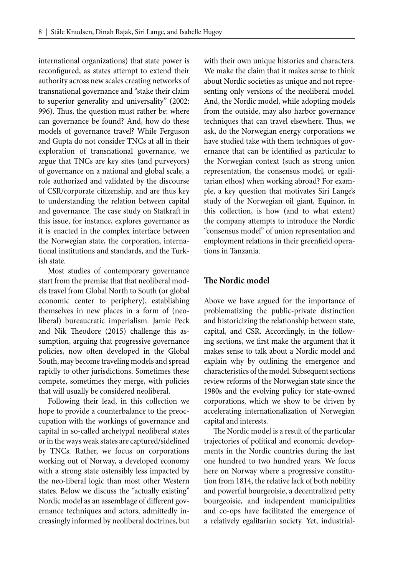international organizations) that state power is reconfigured, as states attempt to extend their authority across new scales creating networks of transnational governance and "stake their claim to superior generality and universality" (2002: 996). Thus, the question must rather be: where can governance be found? And, how do these models of governance travel? While Ferguson and Gupta do not consider TNCs at all in their exploration of transnational governance, we argue that TNCs are key sites (and purveyors) of governance on a national and global scale, a role authorized and validated by the discourse of CSR/corporate citizenship, and are thus key to understanding the relation between capital and governance. The case study on Statkraft in this issue, for instance, explores governance as it is enacted in the complex interface between the Norwegian state, the corporation, international institutions and standards, and the Turkish state.

Most studies of contemporary governance start from the premise that that neoliberal models travel from Global North to South (or global economic center to periphery), establishing themselves in new places in a form of (neoliberal) bureaucratic imperialism. Jamie Peck and Nik Theodore (2015) challenge this assumption, arguing that progressive governance policies, now often developed in the Global South, may become traveling models and spread rapidly to other jurisdictions. Sometimes these compete, sometimes they merge, with policies that will usually be considered neoliberal.

Following their lead, in this collection we hope to provide a counterbalance to the preoccupation with the workings of governance and capital in so-called archetypal neoliberal states or in the ways weak states are captured/sidelined by TNCs. Rather, we focus on corporations working out of Norway, a developed economy with a strong state ostensibly less impacted by the neo-liberal logic than most other Western states. Below we discuss the "actually existing" Nordic model as an assemblage of different governance techniques and actors, admittedly increasingly informed by neoliberal doctrines, but with their own unique histories and characters. We make the claim that it makes sense to think about Nordic societies as unique and not representing only versions of the neoliberal model. And, the Nordic model, while adopting models from the outside, may also harbor governance techniques that can travel elsewhere. Thus, we ask, do the Norwegian energy corporations we have studied take with them techniques of governance that can be identified as particular to the Norwegian context (such as strong union representation, the consensus model, or egalitarian ethos) when working abroad? For example, a key question that motivates Siri Lange's study of the Norwegian oil giant, Equinor, in this collection, is how (and to what extent) the company attempts to introduce the Nordic "consensus model" of union representation and employment relations in their greenfield operations in Tanzania.

## **The Nordic model**

Above we have argued for the importance of problematizing the public-private distinction and historicizing the relationship between state, capital, and CSR. Accordingly, in the following sections, we first make the argument that it makes sense to talk about a Nordic model and explain why by outlining the emergence and characteristics of the model. Subsequent sections review reforms of the Norwegian state since the 1980s and the evolving policy for state-owned corporations, which we show to be driven by accelerating internationalization of Norwegian capital and interests.

The Nordic model is a result of the particular trajectories of political and economic developments in the Nordic countries during the last one hundred to two hundred years. We focus here on Norway where a progressive constitution from 1814, the relative lack of both nobility and powerful bourgeoisie, a decentralized petty bourgeoisie, and independent municipalities and co-ops have facilitated the emergence of a relatively egalitarian society. Yet, industrial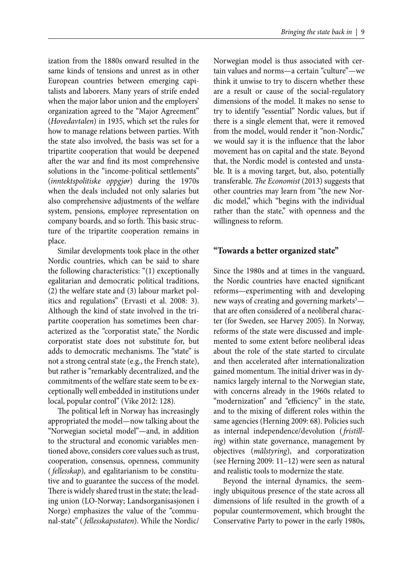ization from the 1880s onward resulted in the same kinds of tensions and unrest as in other European countries between emerging capitalists and laborers. Many years of strife ended when the major labor union and the employers' organization agreed to the "Major Agreement" (*Hovedavtalen*) in 1935, which set the rules for how to manage relations between parties. With the state also involved, the basis was set for a tripartite cooperation that would be deepened after the war and find its most comprehensive solutions in the "income-political settlements" (*inntektspolitiske oppgjør*) during the 1970s when the deals included not only salaries but also comprehensive adjustments of the welfare system, pensions, employee representation on company boards, and so forth. This basic structure of the tripartite cooperation remains in place.

Similar developments took place in the other Nordic countries, which can be said to share the following characteristics: "(1) exceptionally egalitarian and democratic political traditions, (2) the welfare state and (3) labour market politics and regulations" (Ervasti et al. 2008: 3). Although the kind of state involved in the tripartite cooperation has sometimes been characterized as the "corporatist state," the Nordic corporatist state does not substitute for, but adds to democratic mechanisms. The "state" is not a strong central state (e.g., the French state), but rather is "remarkably decentralized, and the commitments of the welfare state seem to be exceptionally well embedded in institutions under local, popular control" (Vike 2012: 128).

The political left in Norway has increasingly appropriated the model—now talking about the "Norwegian societal model"—and, in addition to the structural and economic variables mentioned above, considers core values such as trust, cooperation, consensus, openness, community ( *fellesskap*), and egalitarianism to be constitutive and to guarantee the success of the model. There is widely shared trust in the state; the leading union (LO-Norway; Landsorganisasjonen i Norge) emphasizes the value of the "communal-state" ( *fellesskapsstaten*). While the Nordic/

Norwegian model is thus associated with certain values and norms—a certain "culture"—we think it unwise to try to discern whether these are a result or cause of the social-regulatory dimensions of the model. It makes no sense to try to identify "essential" Nordic values, but if there is a single element that, were it removed from the model, would render it "non-Nordic," we would say it is the influence that the labor movement has on capital and the state. Beyond that, the Nordic model is contested and unstable. It is a moving target, but, also, potentially transferable. *The Economist* (2013) suggests that other countries may learn from "the new Nordic model," which "begins with the individual rather than the state," with openness and the willingness to reform.

#### **"Towards a better organized state"**

Since the 1980s and at times in the vanguard, the Nordic countries have enacted significant reforms—experimenting with and developing new ways of creating and governing markets $^3$ that are often considered of a neoliberal character (for Sweden, see Harvey 2005). In Norway, reforms of the state were discussed and implemented to some extent before neoliberal ideas about the role of the state started to circulate and then accelerated after internationalization gained momentum. The initial driver was in dynamics largely internal to the Norwegian state, with concerns already in the 1960s related to "modernization" and "efficiency" in the state, and to the mixing of different roles within the same agencies (Herning 2009: 68). Policies such as internal independence/devolution (*fristilling*) within state governance, management by objectives (*målstyring*), and corporatization (see Herning 2009: 11–12) were seen as natural and realistic tools to modernize the state.

Beyond the internal dynamics, the seemingly ubiquitous presence of the state across all dimensions of life resulted in the growth of a popular countermovement, which brought the Conservative Party to power in the early 1980s,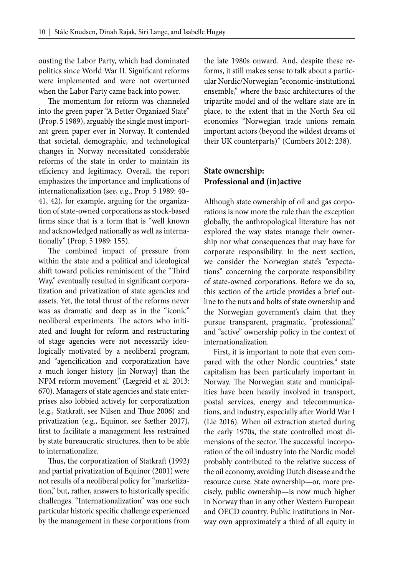ousting the Labor Party, which had dominated politics since World War II. Significant reforms were implemented and were not overturned when the Labor Party came back into power.

The momentum for reform was channeled into the green paper "A Better Organized State" (Prop. 5 1989), arguably the single most important green paper ever in Norway. It contended that societal, demographic, and technological changes in Norway necessitated considerable reforms of the state in order to maintain its efficiency and legitimacy. Overall, the report emphasizes the importance and implications of internationalization (see, e.g., Prop. 5 1989: 40– 41, 42), for example, arguing for the organization of state-owned corporations as stock-based firms since that is a form that is "well known and acknowledged nationally as well as internationally" (Prop. 5 1989: 155).

The combined impact of pressure from within the state and a political and ideological shift toward policies reminiscent of the "Third Way," eventually resulted in significant corporatization and privatization of state agencies and assets. Yet, the total thrust of the reforms never was as dramatic and deep as in the "iconic" neoliberal experiments. The actors who initiated and fought for reform and restructuring of stage agencies were not necessarily ideologically motivated by a neoliberal program, and "agencification and corporatization have a much longer history [in Norway] than the NPM reform movement" (Lægreid et al. 2013: 670). Managers of state agencies and state enterprises also lobbied actively for corporatization (e.g., Statkraft, see Nilsen and Thue 2006) and privatization (e.g., Equinor, see Sæther 2017), first to facilitate a management less restrained by state bureaucratic structures, then to be able to internationalize.

Thus, the corporatization of Statkraft (1992) and partial privatization of Equinor (2001) were not results of a neoliberal policy for "marketization," but, rather, answers to historically specific challenges. "Internationalization" was one such particular historic specific challenge experienced by the management in these corporations from

the late 1980s onward. And, despite these reforms, it still makes sense to talk about a particular Nordic/Norwegian "economic-institutional ensemble," where the basic architectures of the tripartite model and of the welfare state are in place, to the extent that in the North Sea oil economies "Norwegian trade unions remain important actors (beyond the wildest dreams of their UK counterparts)" (Cumbers 2012: 238).

# **State ownership: Professional and (in)active**

Although state ownership of oil and gas corporations is now more the rule than the exception globally, the anthropological literature has not explored the way states manage their ownership nor what consequences that may have for corporate responsibility. In the next section, we consider the Norwegian state's "expectations" concerning the corporate responsibility of state-owned corporations. Before we do so, this section of the article provides a brief outline to the nuts and bolts of state ownership and the Norwegian government's claim that they pursue transparent, pragmatic, "professional," and "active" ownership policy in the context of internationalization.

First, it is important to note that even compared with the other Nordic countries,<sup>4</sup> state capitalism has been particularly important in Norway. The Norwegian state and municipalities have been heavily involved in transport, postal services, energy and telecommunications, and industry, especially after World War I (Lie 2016). When oil extraction started during the early 1970s, the state controlled most dimensions of the sector. The successful incorporation of the oil industry into the Nordic model probably contributed to the relative success of the oil economy, avoiding Dutch disease and the resource curse. State ownership—or, more precisely, public ownership—is now much higher in Norway than in any other Western European and OECD country. Public institutions in Norway own approximately a third of all equity in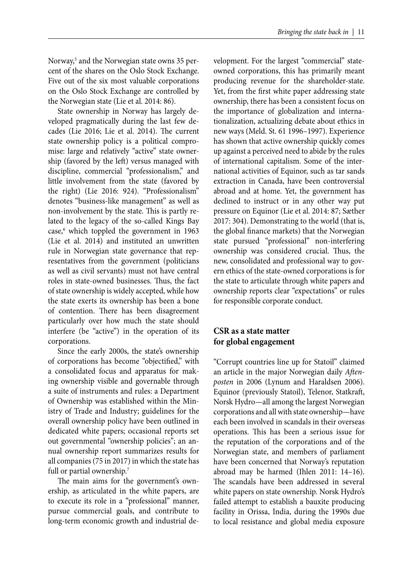Norway,5 and the Norwegian state owns 35 percent of the shares on the Oslo Stock Exchange. Five out of the six most valuable corporations on the Oslo Stock Exchange are controlled by the Norwegian state (Lie et al. 2014: 86).

State ownership in Norway has largely developed pragmatically during the last few decades (Lie 2016; Lie et al. 2014). The current state ownership policy is a political compromise: large and relatively "active" state ownership (favored by the left) versus managed with discipline, commercial "professionalism," and little involvement from the state (favored by the right) (Lie 2016: 924). "Professionalism" denotes "business-like management" as well as non-involvement by the state. This is partly related to the legacy of the so-called Kings Bay case,<sup>6</sup> which toppled the government in 1963 (Lie et al. 2014) and instituted an unwritten rule in Norwegian state governance that representatives from the government (politicians as well as civil servants) must not have central roles in state-owned businesses. Thus, the fact of state ownership is widely accepted, while how the state exerts its ownership has been a bone of contention. There has been disagreement particularly over how much the state should interfere (be "active") in the operation of its corporations.

Since the early 2000s, the state's ownership of corporations has become "objectified," with a consolidated focus and apparatus for making ownership visible and governable through a suite of instruments and rules: a Department of Ownership was established within the Ministry of Trade and Industry; guidelines for the overall ownership policy have been outlined in dedicated white papers; occasional reports set out governmental "ownership policies"; an annual ownership report summarizes results for all companies (75 in 2017) in which the state has full or partial ownership.<sup>7</sup>

The main aims for the government's ownership, as articulated in the white papers, are to execute its role in a "professional" manner, pursue commercial goals, and contribute to long-term economic growth and industrial development. For the largest "commercial" stateowned corporations, this has primarily meant producing revenue for the shareholder-state. Yet, from the first white paper addressing state ownership, there has been a consistent focus on the importance of globalization and internationalization, actualizing debate about ethics in new ways (Meld. St. 61 1996–1997). Experience has shown that active ownership quickly comes up against a perceived need to abide by the rules of international capitalism. Some of the international activities of Equinor, such as tar sands extraction in Canada, have been controversial abroad and at home. Yet, the government has declined to instruct or in any other way put pressure on Equinor (Lie et al. 2014: 87; Sæther 2017: 304). Demonstrating to the world (that is, the global finance markets) that the Norwegian state pursued "professional" non-interfering ownership was considered crucial. Thus, the new, consolidated and professional way to govern ethics of the state-owned corporations is for the state to articulate through white papers and ownership reports clear "expectations" or rules for responsible corporate conduct.

## **CSR as a state matter for global engagement**

"Corrupt countries line up for Statoil" claimed an article in the major Norwegian daily *Aftenposten* in 2006 (Lynum and Haraldsen 2006). Equinor (previously Statoil), Telenor, Statkraft, Norsk Hydro—all among the largest Norwegian corporations and all with state ownership—have each been involved in scandals in their overseas operations. Th is has been a serious issue for the reputation of the corporations and of the Norwegian state, and members of parliament have been concerned that Norway's reputation abroad may be harmed (Ihlen 2011: 14–16). The scandals have been addressed in several white papers on state ownership. Norsk Hydro's failed attempt to establish a bauxite producing facility in Orissa, India, during the 1990s due to local resistance and global media exposure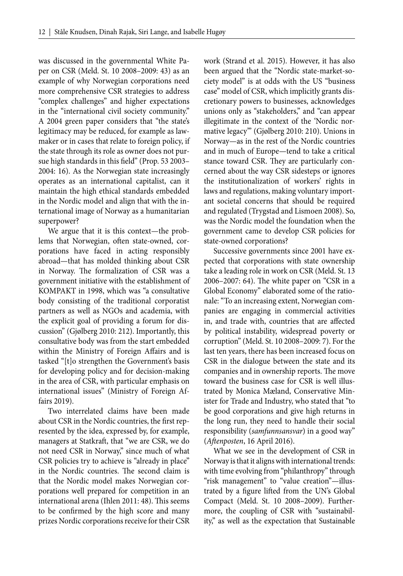was discussed in the governmental White Paper on CSR (Meld. St. 10 2008–2009: 43) as an example of why Norwegian corporations need more comprehensive CSR strategies to address "complex challenges" and higher expectations in the "international civil society community." A 2004 green paper considers that "the state's legitimacy may be reduced, for example as lawmaker or in cases that relate to foreign policy, if the state through its role as owner does not pursue high standards in this field" (Prop. 53 2003– 2004: 16). As the Norwegian state increasingly operates as an international capitalist, can it maintain the high ethical standards embedded in the Nordic model and align that with the international image of Norway as a humanitarian superpower?

We argue that it is this context—the problems that Norwegian, often state-owned, corporations have faced in acting responsibly abroad—that has molded thinking about CSR in Norway. The formalization of CSR was a government initiative with the establishment of KOMPAKT in 1998, which was "a consultative body consisting of the traditional corporatist partners as well as NGOs and academia, with the explicit goal of providing a forum for discussion" (Gjølberg 2010: 212). Importantly, this consultative body was from the start embedded within the Ministry of Foreign Affairs and is tasked "[t]o strengthen the Government's basis for developing policy and for decision-making in the area of CSR, with particular emphasis on international issues" (Ministry of Foreign Affairs 2019).

Two interrelated claims have been made about CSR in the Nordic countries, the first represented by the idea, expressed by, for example, managers at Statkraft, that "we are CSR, we do not need CSR in Norway," since much of what CSR policies try to achieve is "already in place" in the Nordic countries. The second claim is that the Nordic model makes Norwegian corporations well prepared for competition in an international arena (Ihlen 2011: 48). This seems to be confirmed by the high score and many prizes Nordic corporations receive for their CSR work (Strand et al. 2015). However, it has also been argued that the "Nordic state-market-society model" is at odds with the US "business case" model of CSR, which implicitly grants discretionary powers to businesses, acknowledges unions only as "stakeholders," and "can appear illegitimate in the context of the 'Nordic normative legacy'" (Gjølberg 2010: 210). Unions in Norway—as in the rest of the Nordic countries and in much of Europe—tend to take a critical stance toward CSR. They are particularly concerned about the way CSR sidesteps or ignores the institutionalization of workers' rights in laws and regulations, making voluntary important societal concerns that should be required and regulated (Trygstad and Lismoen 2008). So, was the Nordic model the foundation when the government came to develop CSR policies for state-owned corporations?

Successive governments since 2001 have expected that corporations with state ownership take a leading role in work on CSR (Meld. St. 13  $2006 - 2007$ : 64). The white paper on "CSR in a Global Economy" elaborated some of the rationale: "To an increasing extent, Norwegian companies are engaging in commercial activities in, and trade with, countries that are affected by political instability, widespread poverty or corruption" (Meld. St. 10 2008–2009: 7). For the last ten years, there has been increased focus on CSR in the dialogue between the state and its companies and in ownership reports. The move toward the business case for CSR is well illustrated by Monica Mæland, Conservative Minister for Trade and Industry, who stated that "to be good corporations and give high returns in the long run, they need to handle their social responsibility (*samfunnsansvar*) in a good way" (*Aft enposten*, 16 April 2016).

What we see in the development of CSR in Norway is that it aligns with international trends: with time evolving from "philanthropy" through "risk management" to "value creation"—illustrated by a figure lifted from the UN's Global Compact (Meld. St. 10 2008–2009). Furthermore, the coupling of CSR with "sustainability," as well as the expectation that Sustainable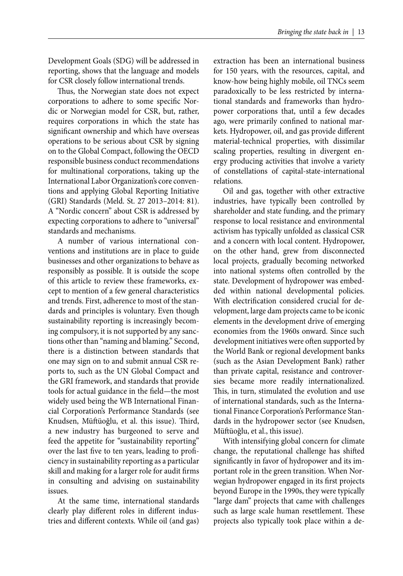Development Goals (SDG) will be addressed in reporting, shows that the language and models for CSR closely follow international trends.

Thus, the Norwegian state does not expect corporations to adhere to some specific Nordic or Norwegian model for CSR, but, rather, requires corporations in which the state has significant ownership and which have overseas operations to be serious about CSR by signing on to the Global Compact, following the OECD responsible business conduct recommendations for multinational corporations, taking up the International Labor Organization's core conventions and applying Global Reporting Initiative (GRI) Standards (Meld. St. 27 2013–2014: 81). A "Nordic concern" about CSR is addressed by expecting corporations to adhere to "universal" standards and mechanisms.

A number of various international conventions and institutions are in place to guide businesses and other organizations to behave as responsibly as possible. It is outside the scope of this article to review these frameworks, except to mention of a few general characteristics and trends. First, adherence to most of the standards and principles is voluntary. Even though sustainability reporting is increasingly becoming compulsory, it is not supported by any sanctions other than "naming and blaming." Second, there is a distinction between standards that one may sign on to and submit annual CSR reports to, such as the UN Global Compact and the GRI framework, and standards that provide tools for actual guidance in the field—the most widely used being the WB International Financial Corporation's Performance Standards (see Knudsen, Müftüoğlu, et al. this issue). Third, a new industry has burgeoned to serve and feed the appetite for "sustainability reporting" over the last five to ten years, leading to proficiency in sustainability reporting as a particular skill and making for a larger role for audit firms in consulting and advising on sustainability issues.

At the same time, international standards clearly play different roles in different industries and different contexts. While oil (and gas)

extraction has been an international business for 150 years, with the resources, capital, and know-how being highly mobile, oil TNCs seem paradoxically to be less restricted by international standards and frameworks than hydropower corporations that, until a few decades ago, were primarily confined to national markets. Hydropower, oil, and gas provide different material-technical properties, with dissimilar scaling properties, resulting in divergent energy producing activities that involve a variety of constellations of capital-state-international relations.

Oil and gas, together with other extractive industries, have typically been controlled by shareholder and state funding, and the primary response to local resistance and environmental activism has typically unfolded as classical CSR and a concern with local content. Hydropower, on the other hand, grew from disconnected local projects, gradually becoming networked into national systems often controlled by the state. Development of hydropower was embedded within national developmental policies. With electrification considered crucial for development, large dam projects came to be iconic elements in the development drive of emerging economies from the 1960s onward. Since such development initiatives were often supported by the World Bank or regional development banks (such as the Asian Development Bank) rather than private capital, resistance and controversies became more readily internationalized. This, in turn, stimulated the evolution and use of international standards, such as the International Finance Corporation's Performance Standards in the hydropower sector (see Knudsen, Müftüoğlu, et al., this issue).

With intensifying global concern for climate change, the reputational challenge has shifted significantly in favor of hydropower and its important role in the green transition. When Norwegian hydropower engaged in its first projects beyond Europe in the 1990s, they were typically "large dam" projects that came with challenges such as large scale human resettlement. These projects also typically took place within a de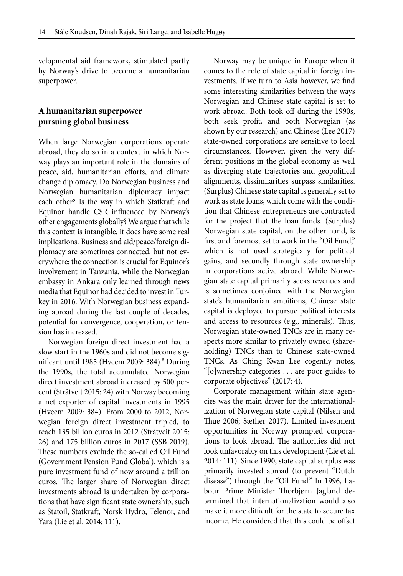velopmental aid framework, stimulated partly by Norway's drive to become a humanitarian superpower.

## **A humanitarian superpower pursuing global business**

When large Norwegian corporations operate abroad, they do so in a context in which Norway plays an important role in the domains of peace, aid, humanitarian efforts, and climate change diplomacy. Do Norwegian business and Norwegian humanitarian diplomacy impact each other? Is the way in which Statkraft and Equinor handle CSR influenced by Norway's other engagements globally? We argue that while this context is intangible, it does have some real implications. Business and aid/peace/foreign diplomacy are sometimes connected, but not everywhere: the connection is crucial for Equinor's involvement in Tanzania, while the Norwegian embassy in Ankara only learned through news media that Equinor had decided to invest in Turkey in 2016. With Norwegian business expanding abroad during the last couple of decades, potential for convergence, cooperation, or tension has increased.

Norwegian foreign direct investment had a slow start in the 1960s and did not become significant until 1985 (Hveem 2009: 384).<sup>8</sup> During the 1990s, the total accumulated Norwegian direct investment abroad increased by 500 percent (Stråtveit 2015: 24) with Norway becoming a net exporter of capital investments in 1995 (Hveem 2009: 384). From 2000 to 2012, Norwegian foreign direct investment tripled, to reach 135 billion euros in 2012 (Stråtveit 2015: 26) and 175 billion euros in 2017 (SSB 2019). These numbers exclude the so-called Oil Fund (Government Pension Fund Global), which is a pure investment fund of now around a trillion euros. The larger share of Norwegian direct investments abroad is undertaken by corporations that have significant state ownership, such as Statoil, Statkraft, Norsk Hydro, Telenor, and Yara (Lie et al. 2014: 111).

Norway may be unique in Europe when it comes to the role of state capital in foreign investments. If we turn to Asia however, we find some interesting similarities between the ways Norwegian and Chinese state capital is set to work abroad. Both took off during the 1990s, both seek profit, and both Norwegian (as shown by our research) and Chinese (Lee 2017) state-owned corporations are sensitive to local circumstances. However, given the very different positions in the global economy as well as diverging state trajectories and geopolitical alignments, dissimilarities surpass similarities. (Surplus) Chinese state capital is generally set to work as state loans, which come with the condition that Chinese entrepreneurs are contracted for the project that the loan funds. (Surplus) Norwegian state capital, on the other hand, is first and foremost set to work in the "Oil Fund," which is not used strategically for political gains, and secondly through state ownership in corporations active abroad. While Norwegian state capital primarily seeks revenues and is sometimes conjoined with the Norwegian state's humanitarian ambitions, Chinese state capital is deployed to pursue political interests and access to resources (e.g., minerals). Thus, Norwegian state-owned TNCs are in many respects more similar to privately owned (shareholding) TNCs than to Chinese state-owned TNCs. As Ching Kwan Lee cogently notes, "[o]wnership categories . . . are poor guides to corporate objectives" (2017: 4).

Corporate management within state agencies was the main driver for the internationalization of Norwegian state capital (Nilsen and Thue 2006; Sæther 2017). Limited investment opportunities in Norway prompted corporations to look abroad. The authorities did not look unfavorably on this development (Lie et al. 2014: 111). Since 1990, state capital surplus was primarily invested abroad (to prevent "Dutch disease") through the "Oil Fund." In 1996, Labour Prime Minister Thorbjørn Jagland determined that internationalization would also make it more difficult for the state to secure tax income. He considered that this could be offset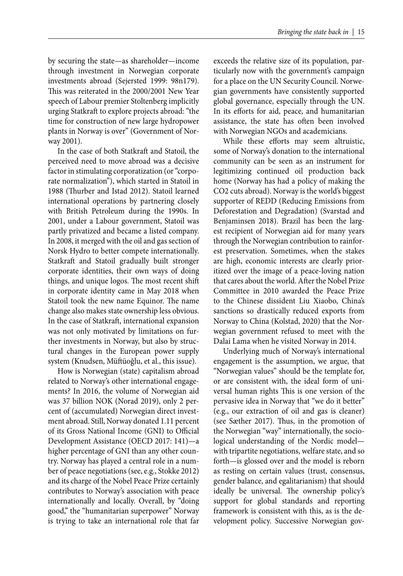by securing the state—as shareholder—income through investment in Norwegian corporate investments abroad (Sejersted 1999: 98n179). This was reiterated in the 2000/2001 New Year speech of Labour premier Stoltenberg implicitly urging Statkraft to explore projects abroad: "the time for construction of new large hydropower plants in Norway is over" (Government of Norway 2001).

In the case of both Statkraft and Statoil, the perceived need to move abroad was a decisive factor in stimulating corporatization (or "corporate normalization"), which started in Statoil in 1988 (Thurber and Istad 2012). Statoil learned international operations by partnering closely with British Petroleum during the 1990s. In 2001, under a Labour government, Statoil was partly privatized and became a listed company. In 2008, it merged with the oil and gas section of Norsk Hydro to better compete internationally. Statkraft and Statoil gradually built stronger corporate identities, their own ways of doing things, and unique logos. The most recent shift in corporate identity came in May 2018 when Statoil took the new name Equinor. The name change also makes state ownership less obvious. In the case of Statkraft, international expansion was not only motivated by limitations on further investments in Norway, but also by structural changes in the European power supply system (Knudsen, Müftüoğlu, et al., this issue).

How is Norwegian (state) capitalism abroad related to Norway's other international engagements? In 2016, the volume of Norwegian aid was 37 billion NOK (Norad 2019), only 2 percent of (accumulated) Norwegian direct investment abroad. Still, Norway donated 1.11 percent of its Gross National Income (GNI) to Official Development Assistance (OECD 2017: 141)—a higher percentage of GNI than any other country. Norway has played a central role in a number of peace negotiations (see, e.g., Stokke 2012) and its charge of the Nobel Peace Prize certainly contributes to Norway's association with peace internationally and locally. Overall, by "doing good," the "humanitarian superpower" Norway is trying to take an international role that far

exceeds the relative size of its population, particularly now with the government's campaign for a place on the UN Security Council. Norwegian governments have consistently supported global governance, especially through the UN. In its efforts for aid, peace, and humanitarian assistance, the state has often been involved with Norwegian NGOs and academicians.

While these efforts may seem altruistic, some of Norway's donation to the international community can be seen as an instrument for legitimizing continued oil production back home (Norway has had a policy of making the CO2 cuts abroad). Norway is the world's biggest supporter of REDD (Reducing Emissions from Deforestation and Degradation) (Svarstad and Benjaminsen 2018). Brazil has been the largest recipient of Norwegian aid for many years through the Norwegian contribution to rainforest preservation. Sometimes, when the stakes are high, economic interests are clearly prioritized over the image of a peace-loving nation that cares about the world. After the Nobel Prize Committee in 2010 awarded the Peace Prize to the Chinese dissident Liu Xiaobo, China's sanctions so drastically reduced exports from Norway to China (Kolstad, 2020) that the Norwegian government refused to meet with the Dalai Lama when he visited Norway in 2014.

Underlying much of Norway's international engagement is the assumption, we argue, that "Norwegian values" should be the template for, or are consistent with, the ideal form of universal human rights This is one version of the pervasive idea in Norway that "we do it better" (e.g., our extraction of oil and gas is cleaner) (see Sæther 2017). Thus, in the promotion of the Norwegian "way" internationally, the sociological understanding of the Nordic model with tripartite negotiations, welfare state, and so forth—is glossed over and the model is reborn as resting on certain values (trust, consensus, gender balance, and egalitarianism) that should ideally be universal. The ownership policy's support for global standards and reporting framework is consistent with this, as is the development policy. Successive Norwegian gov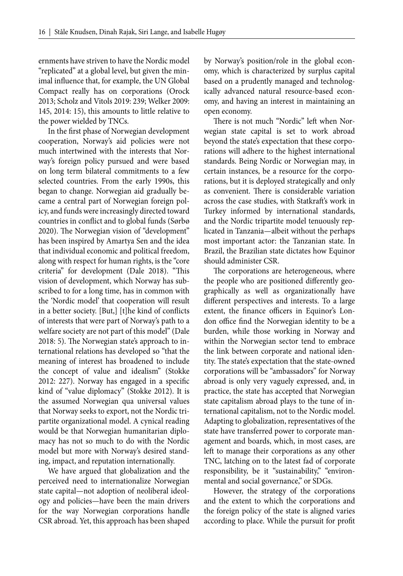ernments have striven to have the Nordic model "replicated" at a global level, but given the minimal influence that, for example, the UN Global Compact really has on corporations (Orock 2013; Scholz and Vitols 2019: 239; Welker 2009: 145, 2014: 15), this amounts to little relative to the power wielded by TNCs.

In the first phase of Norwegian development cooperation, Norway's aid policies were not much intertwined with the interests that Norway's foreign policy pursued and were based on long term bilateral commitments to a few selected countries. From the early 1990s, this began to change. Norwegian aid gradually became a central part of Norwegian foreign policy, and funds were increasingly directed toward countries in conflict and to global funds (Sørbø 2020). The Norwegian vision of "development" has been inspired by Amartya Sen and the idea that individual economic and political freedom, along with respect for human rights, is the "core criteria" for development (Dale 2018). "This vision of development, which Norway has subscribed to for a long time, has in common with the 'Nordic model' that cooperation will result in a better society. [But,] [t]he kind of conflicts of interests that were part of Norway's path to a welfare society are not part of this model" (Dale 2018: 5). The Norwegian state's approach to international relations has developed so "that the meaning of interest has broadened to include the concept of value and idealism" (Stokke  $2012: 227$ ). Norway has engaged in a specific kind of "value diplomacy" (Stokke 2012). It is the assumed Norwegian qua universal values that Norway seeks to export, not the Nordic tripartite organizational model. A cynical reading would be that Norwegian humanitarian diplomacy has not so much to do with the Nordic model but more with Norway's desired standing, impact, and reputation internationally.

We have argued that globalization and the perceived need to internationalize Norwegian state capital—not adoption of neoliberal ideology and policies—have been the main drivers for the way Norwegian corporations handle CSR abroad. Yet, this approach has been shaped by Norway's position/role in the global economy, which is characterized by surplus capital based on a prudently managed and technologically advanced natural resource-based economy, and having an interest in maintaining an open economy.

There is not much "Nordic" left when Norwegian state capital is set to work abroad beyond the state's expectation that these corporations will adhere to the highest international standards. Being Nordic or Norwegian may, in certain instances, be a resource for the corporations, but it is deployed strategically and only as convenient. There is considerable variation across the case studies, with Statkraft's work in Turkey informed by international standards, and the Nordic tripartite model tenuously replicated in Tanzania—albeit without the perhaps most important actor: the Tanzanian state. In Brazil, the Brazilian state dictates how Equinor should administer CSR.

The corporations are heterogeneous, where the people who are positioned differently geographically as well as organizationally have different perspectives and interests. To a large extent, the finance officers in Equinor's London office find the Norwegian identity to be a burden, while those working in Norway and within the Norwegian sector tend to embrace the link between corporate and national identity. The state's expectation that the state-owned corporations will be "ambassadors" for Norway abroad is only very vaguely expressed, and, in practice, the state has accepted that Norwegian state capitalism abroad plays to the tune of international capitalism, not to the Nordic model. Adapting to globalization, representatives of the state have transferred power to corporate management and boards, which, in most cases, are left to manage their corporations as any other TNC, latching on to the latest fad of corporate responsibility, be it "sustainability," "environmental and social governance," or SDGs.

However, the strategy of the corporations and the extent to which the corporations and the foreign policy of the state is aligned varies according to place. While the pursuit for profit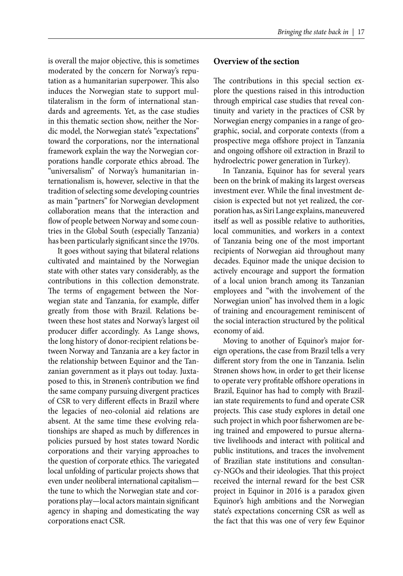is overall the major objective, this is sometimes moderated by the concern for Norway's reputation as a humanitarian superpower. This also induces the Norwegian state to support multilateralism in the form of international standards and agreements. Yet, as the case studies in this thematic section show, neither the Nordic model, the Norwegian state's "expectations" toward the corporations, nor the international framework explain the way the Norwegian corporations handle corporate ethics abroad. The "universalism" of Norway's humanitarian internationalism is, however, selective in that the tradition of selecting some developing countries as main "partners" for Norwegian development collaboration means that the interaction and flow of people between Norway and some countries in the Global South (especially Tanzania) has been particularly significant since the 1970s.

It goes without saying that bilateral relations cultivated and maintained by the Norwegian state with other states vary considerably, as the contributions in this collection demonstrate. The terms of engagement between the Norwegian state and Tanzania, for example, differ greatly from those with Brazil. Relations between these host states and Norway's largest oil producer differ accordingly. As Lange shows, the long history of donor-recipient relations between Norway and Tanzania are a key factor in the relationship between Equinor and the Tanzanian government as it plays out today. Juxtaposed to this, in Strønen's contribution we find the same company pursuing divergent practices of CSR to very different effects in Brazil where the legacies of neo-colonial aid relations are absent. At the same time these evolving relationships are shaped as much by differences in policies pursued by host states toward Nordic corporations and their varying approaches to the question of corporate ethics. The variegated local unfolding of particular projects shows that even under neoliberal international capitalism the tune to which the Norwegian state and corporations play—local actors maintain significant agency in shaping and domesticating the way corporations enact CSR.

## **Overview of the section**

The contributions in this special section explore the questions raised in this introduction through empirical case studies that reveal continuity and variety in the practices of CSR by Norwegian energy companies in a range of geographic, social, and corporate contexts (from a prospective mega offshore project in Tanzania and ongoing offshore oil extraction in Brazil to hydroelectric power generation in Turkey).

In Tanzania, Equinor has for several years been on the brink of making its largest overseas investment ever. While the final investment decision is expected but not yet realized, the corporation has, as Siri Lange explains, maneuvered itself as well as possible relative to authorities, local communities, and workers in a context of Tanzania being one of the most important recipients of Norwegian aid throughout many decades. Equinor made the unique decision to actively encourage and support the formation of a local union branch among its Tanzanian employees and "with the involvement of the Norwegian union" has involved them in a logic of training and encouragement reminiscent of the social interaction structured by the political economy of aid.

Moving to another of Equinor's major foreign operations, the case from Brazil tells a very different story from the one in Tanzania. Iselin Strønen shows how, in order to get their license to operate very profitable offshore operations in Brazil, Equinor has had to comply with Brazilian state requirements to fund and operate CSR projects. This case study explores in detail one such project in which poor fisherwomen are being trained and empowered to pursue alternative livelihoods and interact with political and public institutions, and traces the involvement of Brazilian state institutions and consultancy-NGOs and their ideologies. That this project received the internal reward for the best CSR project in Equinor in 2016 is a paradox given Equinor's high ambitions and the Norwegian state's expectations concerning CSR as well as the fact that this was one of very few Equinor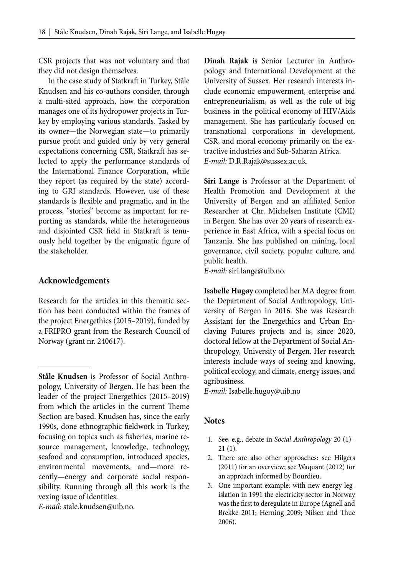CSR projects that was not voluntary and that they did not design themselves.

In the case study of Statkraft in Turkey, Ståle Knudsen and his co-authors consider, through a multi-sited approach, how the corporation manages one of its hydropower projects in Turkey by employing various standards. Tasked by its owner—the Norwegian state—to primarily pursue profit and guided only by very general expectations concerning CSR, Statkraft has selected to apply the performance standards of the International Finance Corporation, while they report (as required by the state) according to GRI standards. However, use of these standards is flexible and pragmatic, and in the process, "stories" become as important for reporting as standards, while the heterogeneous and disjointed CSR field in Statkraft is tenuously held together by the enigmatic figure of the stakeholder.

## **Acknowledgements**

Research for the articles in this thematic section has been conducted within the frames of the project Energethics (2015–2019), funded by a FRIPRO grant from the Research Council of Norway (grant nr. 240617).

*E-mail:* stale.knudsen@uib.no.

**Dinah Rajak** is Senior Lecturer in Anthropology and International Development at the University of Sussex. Her research interests include economic empowerment, enterprise and entrepreneurialism, as well as the role of big business in the political economy of HIV/Aids management. She has particularly focused on transnational corporations in development, CSR, and moral economy primarily on the extractive industries and Sub-Saharan Africa. *E-mail:* D.R.Rajak@sussex.ac.uk.

**Siri Lange** is Professor at the Department of Health Promotion and Development at the University of Bergen and an affiliated Senior Researcher at Chr. Michelsen Institute (CMI) in Bergen. She has over 20 years of research experience in East Africa, with a special focus on Tanzania. She has published on mining, local governance, civil society, popular culture, and public health.

*E-mail:* siri.lange@uib.no.

**Isabelle Hugøy** completed her MA degree from the Department of Social Anthropology, University of Bergen in 2016. She was Research Assistant for the Energethics and Urban Enclaving Futures projects and is, since 2020, doctoral fellow at the Department of Social Anthropology, University of Bergen. Her research interests include ways of seeing and knowing, political ecology, and climate, energy issues, and agribusiness.

*E-mail:* Isabelle.hugoy@uib.no

#### **Notes**

- 1. See, e.g., debate in *Social Anthropology* 20 (1)– 21 (1).
- 2. There are also other approaches: see Hilgers (2011) for an overview; see Waquant (2012) for an approach informed by Bourdieu.
- 3. One important example: with new energy legislation in 1991 the electricity sector in Norway was the first to deregulate in Europe (Agnell and Brekke 2011; Herning 2009; Nilsen and Thue 2006).

**Ståle Knudsen** is Professor of Social Anthropology, University of Bergen. He has been the leader of the project Energethics (2015–2019) from which the articles in the current Theme Section are based. Knudsen has, since the early 1990s, done ethnographic fieldwork in Turkey, focusing on topics such as fisheries, marine resource management, knowledge, technology, seafood and consumption, introduced species, environmental movements, and—more recently—energy and corporate social responsibility. Running through all this work is the vexing issue of identities.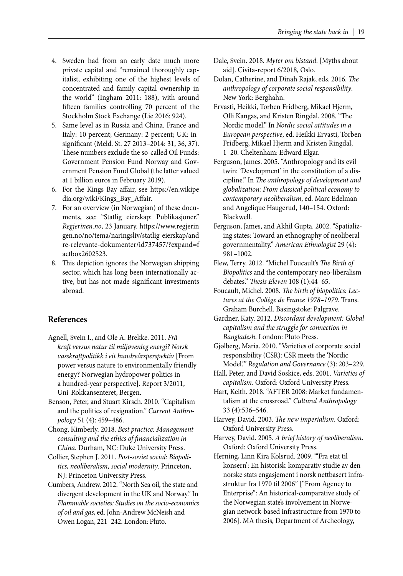- 4. Sweden had from an early date much more private capital and "remained thoroughly capitalist, exhibiting one of the highest levels of concentrated and family capital ownership in the world" (Ingham 2011: 188), with around fifteen families controlling 70 percent of the Stockholm Stock Exchange (Lie 2016: 924).
- 5. Same level as in Russia and China. France and Italy: 10 percent; Germany: 2 percent; UK: insignificant (Meld. St. 27 2013-2014: 31, 36, 37). These numbers exclude the so-called Oil Funds: Government Pension Fund Norway and Government Pension Fund Global (the latter valued at 1 billion euros in February 2019).
- 6. For the Kings Bay affair, see https://en.wikipe dia.org/wiki/Kings\_Bay\_Affair.
- 7. For an overview (in Norwegian) of these documents, see: "Statlig eierskap: Publikasjoner." *Regjerinen.no*, 23 January. https://www.regjerin gen.no/no/tema/naringsliv/statlig-eierskap/and re-relevante-dokumenter/id737457/?expand=f actbox2602523.
- 8. This depiction ignores the Norwegian shipping sector, which has long been internationally active, but has not made significant investments abroad.

## **References**

- Agnell, Svein I., and Ole A. Brekke. 2011. *Frå kraft versus natur til miljøvenleg energi? Norsk vasskraft politikk i eit hundreårsperspektiv* [From power versus nature to environmentally friendly energy? Norwegian hydropower politics in a hundred-year perspective]. Report 3/2011, Uni-Rokkansenteret, Bergen.
- Benson, Peter, and Stuart Kirsch. 2010. "Capitalism and the politics of resignation." *Current Anthropology* 51 (4): 459–486.
- Chong, Kimberly. 2018. *Best practice: Management consulting and the ethics of financialization in China*. Durham, NC: Duke University Press.
- Collier, Stephen J. 2011. *Post-soviet social: Biopolitics, neoliberalism, social modernity*. Princeton, NJ: Princeton University Press.
- Cumbers, Andrew. 2012. "North Sea oil, the state and divergent development in the UK and Norway." In *Flammable societies: Studies on the socio-economics of oil and gas*, ed. John-Andrew McNeish and Owen Logan, 221–242. London: Pluto.
- Dale, Svein. 2018. *Myter om bistand*. [Myths about aid]. Civita-report 6/2018, Oslo.
- Dolan, Catherine, and Dinah Rajak, eds. 2016. *The anthropology of corporate social responsibility*. New York: Berghahn.
- Ervasti, Heikki, Torben Fridberg, Mikael Hjerm, Olli Kangas, and Kristen Ringdal. 2008. "The Nordic model." In *Nordic social attitudes in a European perspective*, ed. Heikki Ervasti, Torben Fridberg, Mikael Hjerm and Kristen Ringdal, 1–20. Cheltenham: Edward Elgar.
- Ferguson, James. 2005. "Anthropology and its evil twin: 'Development' in the constitution of a discipline." In *The anthropology of development and globalization: From classical political economy to contemporary neoliberalism*, ed. Marc Edelman and Angelique Haugerud, 140–154. Oxford: Blackwell.
- Ferguson, James, and Akhil Gupta. 2002. "Spatializing states: Toward an ethnography of neoliberal governmentality." *American Ethnologist* 29 (4): 981–1002.
- Flew, Terry. 2012. "Michel Foucault's *The Birth of Biopolitics* and the contemporary neo-liberalism debates." *Th esis Eleven* 108 (1):44–65.
- Foucault, Michel. 2008. The birth of biopolitics: Lec*tures at the Collège de France 1978–1979*. Trans. Graham Burchell. Basingstoke: Palgrave.
- Gardner, Katy. 2012. *Discordant development: Global capitalism and the struggle for connection in Bangladesh*. London: Pluto Press.
- Gjølberg, Maria. 2010. "Varieties of corporate social responsibility (CSR): CSR meets the 'Nordic Model.'" *Regulation and Governance* (3): 203–229.
- Hall, Peter, and David Soskice, eds. 2001. *Varieties of capitalism*. Oxford: Oxford University Press.
- Hart, Keith. 2018. "AFTER 2008: Market fundamentalism at the crossroad." *Cultural Anthropology* 33 (4):536–546.
- Harvey, David. 2003. *The new imperialism*. Oxford: Oxford University Press.
- Harvey, David. 2005. *A brief history of neoliberalism*. Oxford: Oxford University Press.
- Herning, Linn Kira Kolsrud. 2009. "'Fra etat til konsern': En historisk-komparativ studie av den norske stats engasjement i norsk nettbasert infrastruktur fra 1970 til 2006" ["From Agency to Enterprise": An historical-comparative study of the Norwegian state's involvement in Norwegian network-based infrastructure from 1970 to 2006]. MA thesis, Department of Archeology,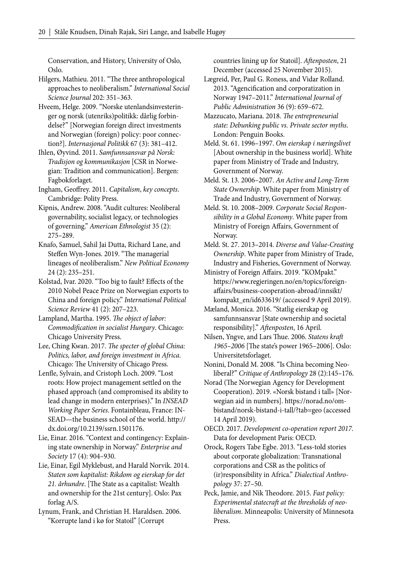Conservation, and History, University of Oslo, Oslo.

Hilgers, Mathieu. 2011. "The three anthropological approaches to neoliberalism." *International Social Science Journal* 202: 351–363.

Hveem, Helge. 2009. "Norske utenlandsinvesteringer og norsk (utenriks)politikk: dårlig forbindelse?" [Norwegian foreign direct investments and Norwegian (foreign) policy: poor connection?]. *Internasjonal Politikk* 67 (3): 381–412.

Ihlen, Øyvind. 2011. *Samfunnsansvar på Norsk: Tradisjon og kommunikasjon* [CSR in Norwegian: Tradition and communication]. Bergen: Fagbokforlaget.

Ingham, Geoff rey. 2011. *Capitalism*, *key concepts*. Cambridge: Polity Press.

Kipnis, Andrew. 2008. "Audit cultures: Neoliberal governability, socialist legacy, or technologies of governing." *American Ethnologist* 35 (2): 275–289.

Knafo, Samuel, Sahil Jai Dutta, Richard Lane, and Steffen Wyn-Jones. 2019. "The managerial lineages of neoliberalism." *New Political Economy* 24 (2): 235–251.

Kolstad, Ivar. 2020. "Too big to fault? Effects of the 2010 Nobel Peace Prize on Norwegian exports to China and foreign policy." *International Political Science Review* 41 (2): 207–223.

Lampland, Martha. 1995. *The object of labor: Commodifi cation in socialist Hungary*. Chicago: Chicago University Press.

Lee, Ching Kwan. 2017. *The specter of global China*: *Politics, labor, and foreign investment in Africa*. Chicago: The University of Chicago Press.

Lenfle, Sylvain, and Cristoph Loch. 2009. "Lost roots: How project management settled on the phased approach (and compromised its ability to lead change in modern enterprises)." In *INSEAD Working Paper Series*. Fontainbleau, France: IN-SEAD—the business school of the world. http:// dx.doi.org/10.2139/ssrn.1501176.

Lie, Einar. 2016. "Context and contingency: Explaining state ownership in Norway." *Enterprise and Society* 17 (4): 904–930.

Lie, Einar, Egil Myklebust, and Harald Norvik. 2014. *Staten som kapitalist: Rikdom og eierskap for det*  21. århundre. [The State as a capitalist: Wealth and ownership for the 21st century]. Oslo: Pax forlag A/S.

Lynum, Frank, and Christian H. Haraldsen. 2006. "Korrupte land i kø for Statoil" [Corrupt

countries lining up for Statoil]. Aftenposten, 21 December (accessed 25 November 2015).

- Lægreid, Per, Paul G. Roness, and Vidar Rolland. 2013. "Agencification and corporatization in Norway 1947–2011." *International Journal of Public Administration* 36 (9): 659–672.
- Mazzucato, Mariana. 2018. *The entrepreneurial state: Debunking public vs. Private sector myths*. London: Penguin Books.
- Meld. St. 61. 1996–1997. *Om eierskap i næringslivet*  [About ownership in the business world]. White paper from Ministry of Trade and Industry, Government of Norway.

Meld. St. 13. 2006–2007. *An Active and Long-Term State Ownership*. White paper from Ministry of Trade and Industry, Government of Norway.

Meld. St. 10. 2008–2009. *Corporate Social Responsibility in a Global Economy*. White paper from Ministry of Foreign Affairs, Government of Norway.

Meld. St. 27. 2013–2014. *Diverse and Value-Creating Ownership*. White paper from Ministry of Trade, Industry and Fisheries, Government of Norway.

Ministry of Foreign Affairs. 2019. "KOMpakt." https://www.regjeringen.no/en/topics/foreignaffairs/business-cooperation-abroad/innsikt/ kompakt\_en/id633619/ (accessed 9 April 2019).

Mæland, Monica. 2016. "Statlig eierskap og samfunnsansvar [State ownership and societal responsibility]." Aftenposten, 16 April.

Nilsen, Yngve, and Lars Thue. 2006. Statens kraft 1965–2006 [The state's power 1965–2006]. Oslo: Universitetsforlaget.

Nonini, Donald M. 2008. "Is China becoming Neoliberal?" *Critique of Anthropology* 28 (2):145–176.

Norad (The Norwegian Agency for Development Cooperation). 2019. «Norsk bistand i tall» [Norwegian aid in numbers]. https://norad.no/ombistand/norsk-bistand-i-tall/?tab=geo (accessed 14 April 2019).

OECD. 2017. *Development co-operation report 2017*. Data for development Paris: OECD.

Orock, Rogers Tabe Egbe. 2013. "Less-told stories about corporate globalization: Transnational corporations and CSR as the politics of (ir)responsibility in Africa." *Dialectical Anthropology* 37: 27–50.

Peck, Jamie, and Nik Theodore. 2015. Fast policy: *Experimental statecraft at the thresholds of neoliberalism*. Minneapolis: University of Minnesota Press.